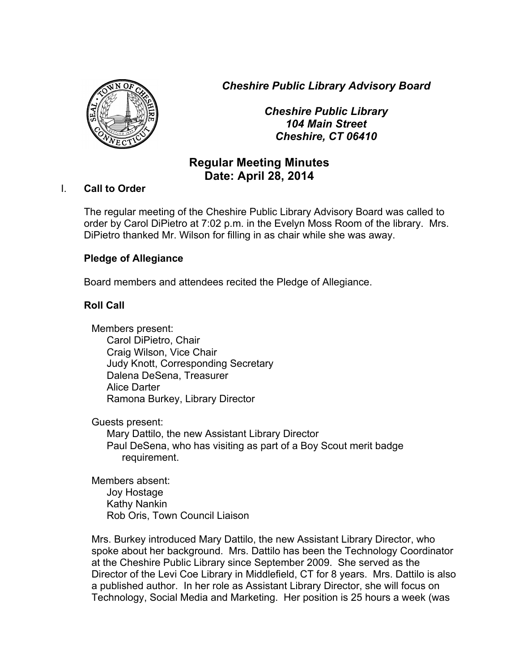*Cheshire Public Library Advisory Board*



*Cheshire Public Library 104 Main Street Cheshire, CT 06410*

# **Regular Meeting Minutes Date: April 28, 2014**

## I. **Call to Order**

The regular meeting of the Cheshire Public Library Advisory Board was called to order by Carol DiPietro at 7:02 p.m. in the Evelyn Moss Room of the library. Mrs. DiPietro thanked Mr. Wilson for filling in as chair while she was away.

# **Pledge of Allegiance**

Board members and attendees recited the Pledge of Allegiance.

# **Roll Call**

Members present: Carol DiPietro, Chair Craig Wilson, Vice Chair Judy Knott, Corresponding Secretary Dalena DeSena, Treasurer Alice Darter Ramona Burkey, Library Director

Guests present:

Mary Dattilo, the new Assistant Library Director Paul DeSena, who has visiting as part of a Boy Scout merit badge requirement.

Members absent: Joy Hostage Kathy Nankin Rob Oris, Town Council Liaison

Mrs. Burkey introduced Mary Dattilo, the new Assistant Library Director, who spoke about her background. Mrs. Dattilo has been the Technology Coordinator at the Cheshire Public Library since September 2009. She served as the Director of the Levi Coe Library in Middlefield, CT for 8 years. Mrs. Dattilo is also a published author. In her role as Assistant Library Director, she will focus on Technology, Social Media and Marketing. Her position is 25 hours a week (was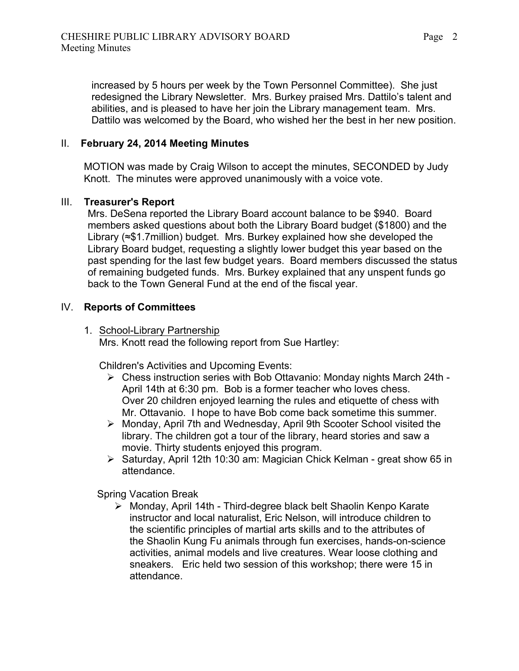increased by 5 hours per week by the Town Personnel Committee). She just redesigned the Library Newsletter. Mrs. Burkey praised Mrs. Dattilo's talent and abilities, and is pleased to have her join the Library management team. Mrs. Dattilo was welcomed by the Board, who wished her the best in her new position.

## II. **February 24, 2014 Meeting Minutes**

MOTION was made by Craig Wilson to accept the minutes, SECONDED by Judy Knott. The minutes were approved unanimously with a voice vote.

## III. **Treasurer's Report**

Mrs. DeSena reported the Library Board account balance to be \$940. Board members asked questions about both the Library Board budget (\$1800) and the Library (≈\$1.7million) budget. Mrs. Burkey explained how she developed the Library Board budget, requesting a slightly lower budget this year based on the past spending for the last few budget years. Board members discussed the status of remaining budgeted funds. Mrs. Burkey explained that any unspent funds go back to the Town General Fund at the end of the fiscal year.

# IV. **Reports of Committees**

1. School-Library Partnership Mrs. Knott read the following report from Sue Hartley:

Children's Activities and Upcoming Events:

- ! Chess instruction series with Bob Ottavanio: Monday nights March 24th April 14th at 6:30 pm. Bob is a former teacher who loves chess. Over 20 children enjoyed learning the rules and etiquette of chess with Mr. Ottavanio. I hope to have Bob come back sometime this summer.
- $\triangleright$  Monday, April 7th and Wednesday, April 9th Scooter School visited the library. The children got a tour of the library, heard stories and saw a movie. Thirty students enjoyed this program.
- $\triangleright$  Saturday, April 12th 10:30 am: Magician Chick Kelman great show 65 in attendance.

Spring Vacation Break

 $\triangleright$  Monday, April 14th - Third-degree black belt Shaolin Kenpo Karate instructor and local naturalist, Eric Nelson, will introduce children to the scientific principles of martial arts skills and to the attributes of the Shaolin Kung Fu animals through fun exercises, hands-on-science activities, animal models and live creatures. Wear loose clothing and sneakers. Eric held two session of this workshop; there were 15 in attendance.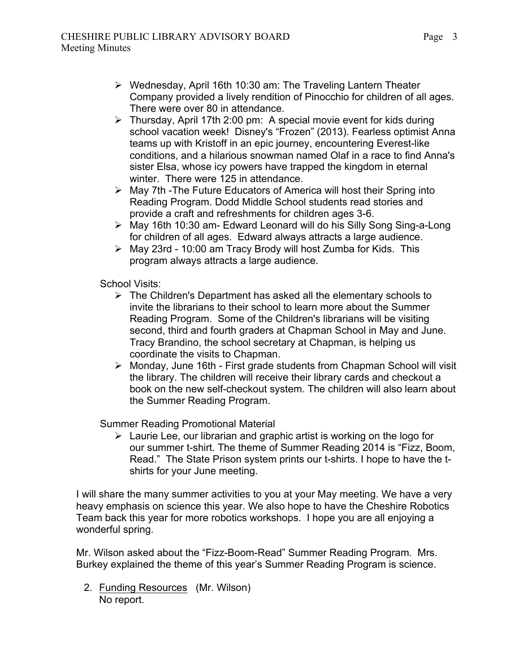- $\triangleright$  Wednesday, April 16th 10:30 am: The Traveling Lantern Theater Company provided a lively rendition of Pinocchio for children of all ages. There were over 80 in attendance.
- $\triangleright$  Thursday, April 17th 2:00 pm: A special movie event for kids during school vacation week! Disney's "Frozen" (2013). Fearless optimist Anna teams up with Kristoff in an epic journey, encountering Everest-like conditions, and a hilarious snowman named Olaf in a race to find Anna's sister Elsa, whose icy powers have trapped the kingdom in eternal winter. There were 125 in attendance.
- $\triangleright$  May 7th -The Future Educators of America will host their Spring into Reading Program. Dodd Middle School students read stories and provide a craft and refreshments for children ages 3-6.
- > May 16th 10:30 am- Edward Leonard will do his Silly Song Sing-a-Long for children of all ages. Edward always attracts a large audience.
- $\triangleright$  May 23rd 10:00 am Tracy Brody will host Zumba for Kids. This program always attracts a large audience.

School Visits:

- $\triangleright$  The Children's Department has asked all the elementary schools to invite the librarians to their school to learn more about the Summer Reading Program. Some of the Children's librarians will be visiting second, third and fourth graders at Chapman School in May and June. Tracy Brandino, the school secretary at Chapman, is helping us coordinate the visits to Chapman.
- $\triangleright$  Monday, June 16th First grade students from Chapman School will visit the library. The children will receive their library cards and checkout a book on the new self-checkout system. The children will also learn about the Summer Reading Program.

Summer Reading Promotional Material

 $\triangleright$  Laurie Lee, our librarian and graphic artist is working on the logo for our summer t-shirt. The theme of Summer Reading 2014 is "Fizz, Boom, Read." The State Prison system prints our t-shirts. I hope to have the tshirts for your June meeting.

I will share the many summer activities to you at your May meeting. We have a very heavy emphasis on science this year. We also hope to have the Cheshire Robotics Team back this year for more robotics workshops. I hope you are all enjoying a wonderful spring.

Mr. Wilson asked about the "Fizz-Boom-Read" Summer Reading Program. Mrs. Burkey explained the theme of this year's Summer Reading Program is science.

2. Funding Resources (Mr. Wilson) No report.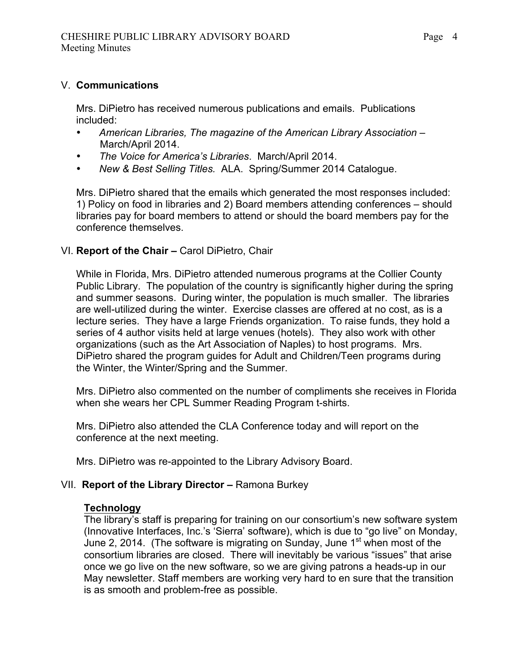# V. **Communications**

Mrs. DiPietro has received numerous publications and emails. Publications included:

- *American Libraries, The magazine of the American Library Association* March/April 2014.
- *The Voice for America's Libraries*. March/April 2014.
- *New & Best Selling Titles.* ALA. Spring/Summer 2014 Catalogue.

Mrs. DiPietro shared that the emails which generated the most responses included: 1) Policy on food in libraries and 2) Board members attending conferences – should libraries pay for board members to attend or should the board members pay for the conference themselves.

# VI. **Report of the Chair –** Carol DiPietro, Chair

While in Florida, Mrs. DiPietro attended numerous programs at the Collier County Public Library. The population of the country is significantly higher during the spring and summer seasons. During winter, the population is much smaller. The libraries are well-utilized during the winter. Exercise classes are offered at no cost, as is a lecture series. They have a large Friends organization. To raise funds, they hold a series of 4 author visits held at large venues (hotels). They also work with other organizations (such as the Art Association of Naples) to host programs. Mrs. DiPietro shared the program guides for Adult and Children/Teen programs during the Winter, the Winter/Spring and the Summer.

Mrs. DiPietro also commented on the number of compliments she receives in Florida when she wears her CPL Summer Reading Program t-shirts.

Mrs. DiPietro also attended the CLA Conference today and will report on the conference at the next meeting.

Mrs. DiPietro was re-appointed to the Library Advisory Board.

## VII. **Report of the Library Director –** Ramona Burkey

## **Technology**

The library's staff is preparing for training on our consortium's new software system (Innovative Interfaces, Inc.'s 'Sierra' software), which is due to "go live" on Monday, June 2, 2014. (The software is migrating on Sunday, June  $1<sup>st</sup>$  when most of the consortium libraries are closed. There will inevitably be various "issues" that arise once we go live on the new software, so we are giving patrons a heads-up in our May newsletter. Staff members are working very hard to en sure that the transition is as smooth and problem-free as possible.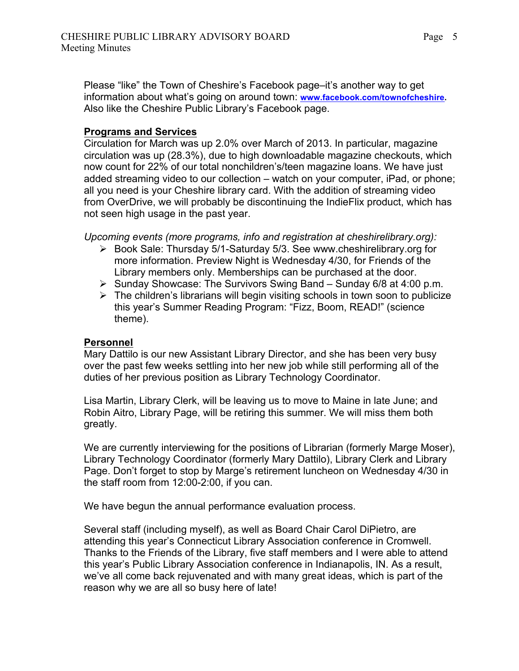Please "like" the Town of Cheshire's Facebook page–it's another way to get information about what's going on around town: **www.facebook.com/townofcheshire.**  Also like the Cheshire Public Library's Facebook page.

# **Programs and Services**

Circulation for March was up 2.0% over March of 2013. In particular, magazine circulation was up (28.3%), due to high downloadable magazine checkouts, which now count for 22% of our total nonchildren's/teen magazine loans. We have just added streaming video to our collection – watch on your computer, iPad, or phone; all you need is your Cheshire library card. With the addition of streaming video from OverDrive, we will probably be discontinuing the IndieFlix product, which has not seen high usage in the past year.

*Upcoming events (more programs, info and registration at cheshirelibrary.org):*

- $\triangleright$  Book Sale: Thursday 5/1-Saturday 5/3. See www.cheshirelibrary.org for more information. Preview Night is Wednesday 4/30, for Friends of the Library members only. Memberships can be purchased at the door.
- $\triangleright$  Sunday Showcase: The Survivors Swing Band Sunday 6/8 at 4:00 p.m.
- $\triangleright$  The children's librarians will begin visiting schools in town soon to publicize this year's Summer Reading Program: "Fizz, Boom, READ!" (science theme).

# **Personnel**

Mary Dattilo is our new Assistant Library Director, and she has been very busy over the past few weeks settling into her new job while still performing all of the duties of her previous position as Library Technology Coordinator.

Lisa Martin, Library Clerk, will be leaving us to move to Maine in late June; and Robin Aitro, Library Page, will be retiring this summer. We will miss them both greatly.

We are currently interviewing for the positions of Librarian (formerly Marge Moser), Library Technology Coordinator (formerly Mary Dattilo), Library Clerk and Library Page. Don't forget to stop by Marge's retirement luncheon on Wednesday 4/30 in the staff room from 12:00-2:00, if you can.

We have begun the annual performance evaluation process.

Several staff (including myself), as well as Board Chair Carol DiPietro, are attending this year's Connecticut Library Association conference in Cromwell. Thanks to the Friends of the Library, five staff members and I were able to attend this year's Public Library Association conference in Indianapolis, IN. As a result, we've all come back rejuvenated and with many great ideas, which is part of the reason why we are all so busy here of late!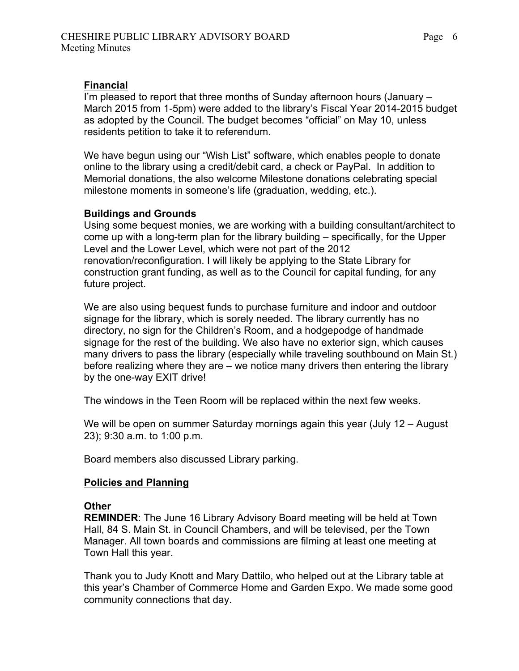#### **Financial**

I'm pleased to report that three months of Sunday afternoon hours (January – March 2015 from 1-5pm) were added to the library's Fiscal Year 2014-2015 budget as adopted by the Council. The budget becomes "official" on May 10, unless residents petition to take it to referendum.

We have begun using our "Wish List" software, which enables people to donate online to the library using a credit/debit card, a check or PayPal. In addition to Memorial donations, the also welcome Milestone donations celebrating special milestone moments in someone's life (graduation, wedding, etc.).

#### **Buildings and Grounds**

Using some bequest monies, we are working with a building consultant/architect to come up with a long-term plan for the library building – specifically, for the Upper Level and the Lower Level, which were not part of the 2012 renovation/reconfiguration. I will likely be applying to the State Library for construction grant funding, as well as to the Council for capital funding, for any future project.

We are also using bequest funds to purchase furniture and indoor and outdoor signage for the library, which is sorely needed. The library currently has no directory, no sign for the Children's Room, and a hodgepodge of handmade signage for the rest of the building. We also have no exterior sign, which causes many drivers to pass the library (especially while traveling southbound on Main St.) before realizing where they are – we notice many drivers then entering the library by the one-way EXIT drive!

The windows in the Teen Room will be replaced within the next few weeks.

We will be open on summer Saturday mornings again this year (July 12 – August 23); 9:30 a.m. to 1:00 p.m.

Board members also discussed Library parking.

#### **Policies and Planning**

#### **Other**

**REMINDER**: The June 16 Library Advisory Board meeting will be held at Town Hall, 84 S. Main St. in Council Chambers, and will be televised, per the Town Manager. All town boards and commissions are filming at least one meeting at Town Hall this year.

Thank you to Judy Knott and Mary Dattilo, who helped out at the Library table at this year's Chamber of Commerce Home and Garden Expo. We made some good community connections that day.